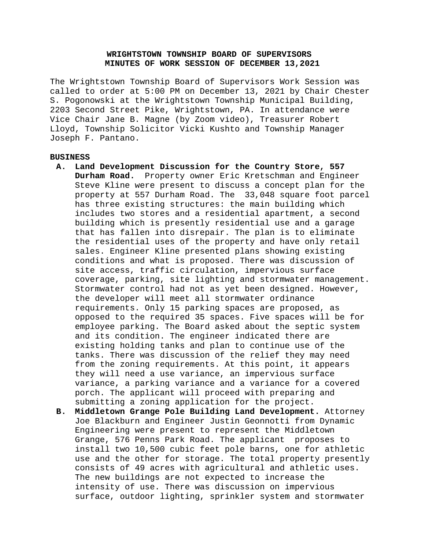# **WRIGHTSTOWN TOWNSHIP BOARD OF SUPERVISORS MINUTES OF WORK SESSION OF DECEMBER 13,2021**

The Wrightstown Township Board of Supervisors Work Session was called to order at 5:00 PM on December 13, 2021 by Chair Chester S. Pogonowski at the Wrightstown Township Municipal Building, 2203 Second Street Pike, Wrightstown, PA. In attendance were Vice Chair Jane B. Magne (by Zoom video), Treasurer Robert Lloyd, Township Solicitor Vicki Kushto and Township Manager Joseph F. Pantano.

### **BUSINESS**

- **A. Land Development Discussion for the Country Store, 557 Durham Road.** Property owner Eric Kretschman and Engineer Steve Kline were present to discuss a concept plan for the property at 557 Durham Road. The 33,048 square foot parcel has three existing structures: the main building which includes two stores and a residential apartment, a second building which is presently residential use and a garage that has fallen into disrepair. The plan is to eliminate the residential uses of the property and have only retail sales. Engineer Kline presented plans showing existing conditions and what is proposed. There was discussion of site access, traffic circulation, impervious surface coverage, parking, site lighting and stormwater management. Stormwater control had not as yet been designed. However, the developer will meet all stormwater ordinance requirements. Only 15 parking spaces are proposed, as opposed to the required 35 spaces. Five spaces will be for employee parking. The Board asked about the septic system and its condition. The engineer indicated there are existing holding tanks and plan to continue use of the tanks. There was discussion of the relief they may need from the zoning requirements. At this point, it appears they will need a use variance, an impervious surface variance, a parking variance and a variance for a covered porch. The applicant will proceed with preparing and submitting a zoning application for the project.
- **B. Middletown Grange Pole Building Land Development.** Attorney Joe Blackburn and Engineer Justin Geonnotti from Dynamic Engineering were present to represent the Middletown Grange, 576 Penns Park Road. The applicant proposes to install two 10,500 cubic feet pole barns, one for athletic use and the other for storage. The total property presently consists of 49 acres with agricultural and athletic uses. The new buildings are not expected to increase the intensity of use. There was discussion on impervious surface, outdoor lighting, sprinkler system and stormwater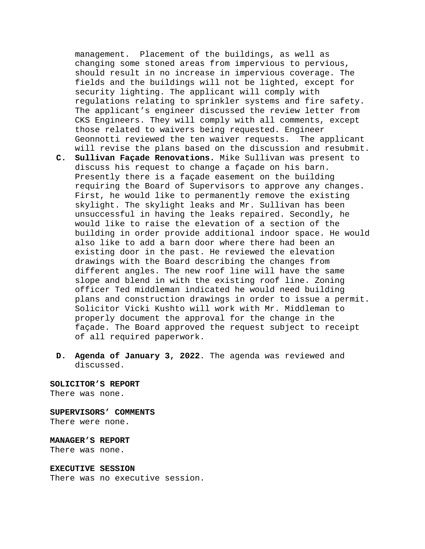management. Placement of the buildings, as well as changing some stoned areas from impervious to pervious, should result in no increase in impervious coverage. The fields and the buildings will not be lighted, except for security lighting. The applicant will comply with regulations relating to sprinkler systems and fire safety. The applicant's engineer discussed the review letter from CKS Engineers. They will comply with all comments, except those related to waivers being requested. Engineer Geonnotti reviewed the ten waiver requests. The applicant will revise the plans based on the discussion and resubmit.

- **C. Sullivan Façade Renovations.** Mike Sullivan was present to discuss his request to change a façade on his barn. Presently there is a façade easement on the building requiring the Board of Supervisors to approve any changes. First, he would like to permanently remove the existing skylight. The skylight leaks and Mr. Sullivan has been unsuccessful in having the leaks repaired. Secondly, he would like to raise the elevation of a section of the building in order provide additional indoor space. He would also like to add a barn door where there had been an existing door in the past. He reviewed the elevation drawings with the Board describing the changes from different angles. The new roof line will have the same slope and blend in with the existing roof line. Zoning officer Ted middleman indicated he would need building plans and construction drawings in order to issue a permit. Solicitor Vicki Kushto will work with Mr. Middleman to properly document the approval for the change in the façade. The Board approved the request subject to receipt of all required paperwork.
- **D. Agenda of January 3, 2022**. The agenda was reviewed and discussed.

**SOLICITOR'S REPORT** There was none.

## **SUPERVISORS' COMMENTS**

There were none.

**MANAGER'S REPORT** There was none.

#### **EXECUTIVE SESSION**

There was no executive session.